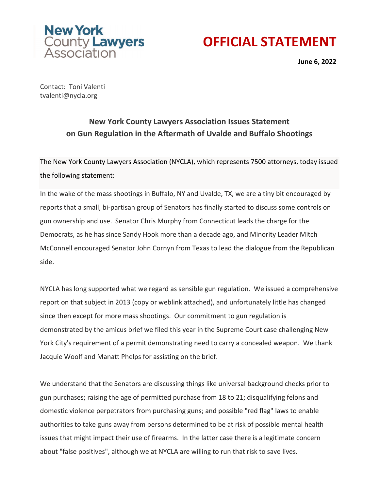

## **OFFICIAL STATEMENT**

**June 6, 2022**

Contact: Toni Valenti tvalenti@nycla.org

## **New York County Lawyers Association Issues Statement on Gun Regulation in the Aftermath of Uvalde and Buffalo Shootings**

The New York County Lawyers Association (NYCLA), which represents 7500 attorneys, today issued the following statement:

In the wake of the mass shootings in Buffalo, NY and Uvalde, TX, we are a tiny bit encouraged by reports that a small, bi-partisan group of Senators has finally started to discuss some controls on gun ownership and use. Senator Chris Murphy from Connecticut leads the charge for the Democrats, as he has since Sandy Hook more than a decade ago, and Minority Leader Mitch McConnell encouraged Senator John Cornyn from Texas to lead the dialogue from the Republican side.

NYCLA has long supported what we regard as sensible gun regulation. We issued a comprehensive report on that subject in 2013 (copy or weblink attached), and unfortunately little has changed since then except for more mass shootings. Our commitment to gun regulation is demonstrated by the amicus brief we filed this year in the Supreme Court case challenging New York City's requirement of a permit demonstrating need to carry a concealed weapon. We thank Jacquie Woolf and Manatt Phelps for assisting on the brief.

We understand that the Senators are discussing things like universal background checks prior to gun purchases; raising the age of permitted purchase from 18 to 21; disqualifying felons and domestic violence perpetrators from purchasing guns; and possible "red flag" laws to enable authorities to take guns away from persons determined to be at risk of possible mental health issues that might impact their use of firearms. In the latter case there is a legitimate concern about "false positives", although we at NYCLA are willing to run that risk to save lives.